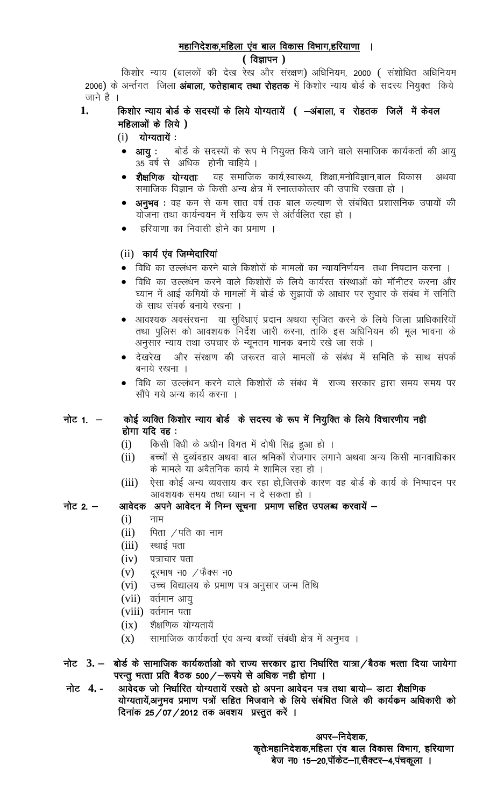# महानिदेशक,महिला एंव बाल विकास विभाग,हरियाणा ।

## $($  विज्ञापन $)$

किशोर न्याय (बालकों की देख रेख और संरक्षण) अधिनियम, 2000 ( संशोधित अधिनियम 2006) के अर्न्तगत जिला **अंबाला, फतेहाबाद तथा रोहतक** में किशोर न्याय बोर्ड के सदस्य नियुक्त किये जाने है ।

### किशोर न्याय बोर्ड के सदस्यों के लिये योग्यतायें ( -अंबाला, व रोहतक जिलें में केवल 1. महिलाओं के लिये )

- $(i)$  योग्यतायें:
- बोर्ड के सदस्यों के रूप मे नियुक्त किये जाने वाले समाजिक कार्यकर्ता की आयु आयु 35 वर्ष से अधिक होनी चाहिये ।
- वह समाजिक कार्य,स्वास्थ्य, शिक्षा,मनोविज्ञान,बाल विकास शैक्षणिक योग्यताः अथवा समाजिक विज्ञान के किसी अन्य क्षेत्र में स्नात्तकोत्तर की उपाधि रखता हो ।
- अनुभव : वह कम से कम सात वर्ष तक बाल कल्याण से संबंधित प्रशासनिक उपायों की योजना तथा कार्यन्वयन में सक्रिय रूप से अंर्तर्वलित रहा हो ।
- हरियाणा का निवासी होने का प्रमाण ।

# (ii) कार्य एंव जिम्मेदारियां

- विधि का उल्लंधन करने बाले किशोरों के मामलों का न्यायनिर्णयन) तथा निपटान करना ।
- विधि का उल्लधन करने वाले किशोरों के लिये कार्यरत संस्थाओं को मॉनीटर करना और घ्यान में आई कमियों के मामलों में बोर्ड के सुझावों के आधार पर सुधार के संबंध में समिति के साथ संपर्क बनाये रखना ।
- आवश्यक अवसंरचना या सुविधाएं प्रदान अथवा सुजित करने के लिये जिला प्राधिकारियों तथा पुलिस को आवशयक निर्देश जारी करना, ताकि इस अधिनियम की मूल भावना के अनुसार न्याय तथा उपचार के न्यूनतम मानक बनाये रखे जा सके ।
- देखरेख और संरक्षण की जरूरत वाले मामलों के संबंध में समिति के साथ संपर्क बनाये रखना ।
- विधि का उल्लंधन करने वाले किशोरों के संबंध में राज्य सरकार द्वारा समय समय पर सौंपे गये अन्य कार्य करना ।

### नोट $1. -$ कोई व्यक्ति किशोर न्याय बोर्ड के सदस्य के रूप में नियुक्ति के लिये विचारणीय नही होगा यदि वह:

- $(i)$ किसी विधी के अधीन विगत में दोषी सिद्व हुआ हो ।
- बच्चों से दर्व्यवहार अथवा बाल श्रमिकों रोजगार लगाने अथवा अन्य किसी मानवाधिकार  $(ii)$ के मामले या अवैतनिक कार्य मे शामिल रहा हो ।
- ऐसा कोई अन्य व्यवसाय कर रहा हो,जिसके कारण वह बोर्ड के कार्य के निष्पादन पर  $(iii)$ आवशयक समय तथा ध्यान न दे सकता हो ।

#### नोट  $2 -$ आवेदक अपने आवेदन में निम्न सूचना प्रमाण सहित उपलब्ध करवायें —

- $(i)$ नाम
- $(ii)$ पिता  $\angle$ पति का नाम
- $(iii)$ स्थाई पता
- $(iv)$ पत्राचार पता
- दूरभाष न0  $/$ फैक्स न0  $(v)$
- उच्च विद्यालय के प्रमाण पत्र अनुसार जन्म तिथि  $(vi)$
- $(vii)$  वर्तमान आयु
- (viii) वर्तमान पता
- शैक्षणिक योग्यतायें  $(ix)$
- सामाजिक कार्यकर्ता एंव अन्य बच्चों संबंधी क्षेत्र में अनुभव ।  $(X)$
- नोट 3. बोर्ड के सामाजिक कार्यकर्ताओ को राज्य सरकार द्वारा निर्धारित यात्रा / बैठक भत्ता दिया जायेगा परन्तू भत्ता प्रति बैठक 500/-रूपये से अधिक नही होगा ।
- नोट 4.-आवेदक जो निर्धारित योग्यतायें रखते हो अपना आवेदन पत्र तथा बायो– डाटा शैक्षणिक योग्यतायें,अनुभव प्रमाण पत्रों सहित भिजवाने के लिये संबंधित जिले की कार्यक्रम अधिकारी को दिनांक 25/07/2012 तक अवशय प्रस्तुत करें ।

अपर–निदेशक, कृते:महानिदेशक,महिला एंव बाल विकास विभाग, हरियाणा बेज न0 15-20,पॉकेट-11,सैक्टर-4,पंचकूला ।